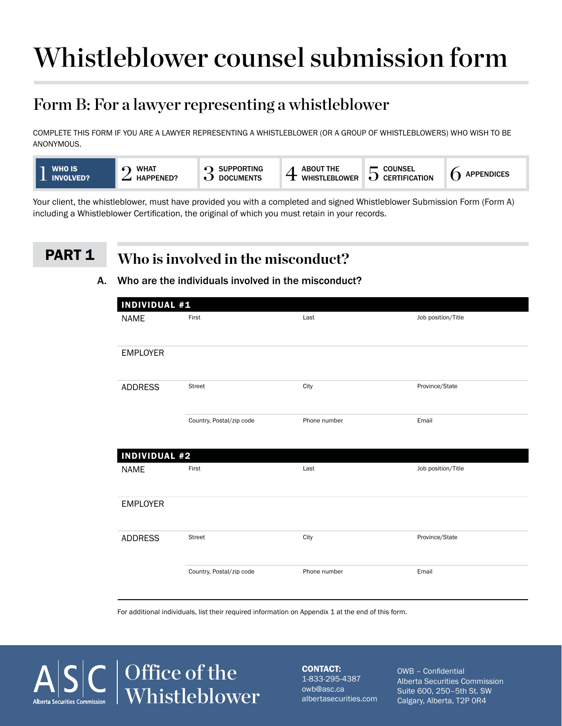# Whistleblower counsel submission form

### Form B: For a lawyer representing a whistleblower

COMPLETE THIS FORM IF YOU ARE A LAWYER REPRESENTING A WHISTLEBLOWER (OR A GROUP OF WHISTLEBLOWERS) WHO WISH TO BE ANONYMOUS.



Your client, the whistleblower, must have provided you with a completed and signed Whistleblower Submission Form (Form A) including a Whistleblower Certification, the original of which you must retain in your records.

### PART<sub>1</sub>

### **Who is involved in the misconduct?**

#### A. Who are the individuals involved in the misconduct?

| <b>NAME</b>          | First                    | Last         | Job position/Title |  |
|----------------------|--------------------------|--------------|--------------------|--|
| <b>EMPLOYER</b>      |                          |              |                    |  |
| <b>ADDRESS</b>       | <b>Street</b>            | City         | Province/State     |  |
|                      | Country, Postal/zip code | Phone number | Email              |  |
| <b>INDIVIDUAL #2</b> |                          |              |                    |  |
| <b>NAME</b>          | First                    | Last         | Job position/Title |  |
| <b>EMPLOYER</b>      |                          |              |                    |  |
| <b>ADDRESS</b>       | <b>Street</b>            | City         | Province/State     |  |
|                      | Country, Postal/zip code | Phone number | Email              |  |

For additional individuals, list their required information on Appendix 1 at the end of this form.



CONTACT: 1-833-295-4387 owb@asc.ca albertasecurities.com

OWB – Confidential Alberta Securities Commission Suite 600, 250–5th St. SW Calgary, Alberta, T2P 0R4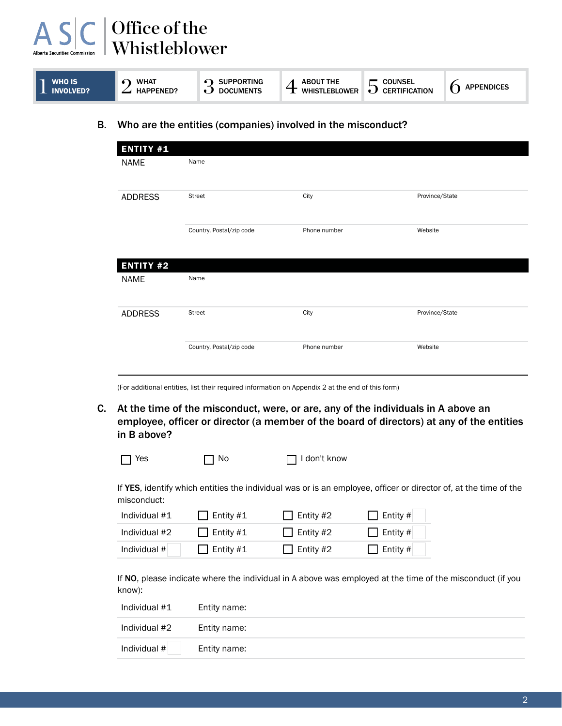| <b>WHAT</b><br><b>COUNSEL</b><br><b>SUPPORTING</b><br>WHO IS'<br><b>ABOUT THE</b><br>∽<br>ᅩ<br><b>INVOLVED?</b><br><b>CERTIFICATION</b><br><b>HAPPENED?</b><br><b>DOCUMENTS</b><br><b>WHISTLEBLOWER</b> | <b>APPENDICES</b> |
|---------------------------------------------------------------------------------------------------------------------------------------------------------------------------------------------------------|-------------------|
|---------------------------------------------------------------------------------------------------------------------------------------------------------------------------------------------------------|-------------------|

B. Who are the entities (companies) involved in the misconduct?

| <b>ENTITY #1</b> |                          |              |                |
|------------------|--------------------------|--------------|----------------|
| <b>NAME</b>      | Name                     |              |                |
| <b>ADDRESS</b>   | Street                   | City         | Province/State |
|                  | Country, Postal/zip code | Phone number | Website        |
| <b>ENTITY #2</b> |                          |              |                |
| <b>NAME</b>      | Name                     |              |                |
| <b>ADDRESS</b>   | Street                   | City         | Province/State |
|                  | Country, Postal/zip code | Phone number | Website        |

(For additional entities, list their required information on Appendix 2 at the end of this form)

C. At the time of the misconduct, were, or are, any of the individuals in A above an employee, officer or director (a member of the board of directors) at any of the entities in B above?

| $\Box$ Yes | $\Box$ No | $\Box$ I don't know |  |
|------------|-----------|---------------------|--|
|------------|-----------|---------------------|--|

If YES, identify which entities the individual was or is an employee, officer or director of, at the time of the misconduct:

| Individual #1 | $\bigcup$ Entity #1 | $\Box$ Entity #2 | $\Box$ Entity # |
|---------------|---------------------|------------------|-----------------|
| Individual #2 | $\Box$ Entity #1    | $\Box$ Entity #2 | $\Box$ Entity # |
| Individual #  | $\Box$ Entity #1    | $\Box$ Entity #2 | $\Box$ Entity # |

If NO, please indicate where the individual in A above was employed at the time of the misconduct (if you know):

| Individual #1 | Entity name: |
|---------------|--------------|
| Individual #2 | Entity name: |
| Individual #  | Entity name: |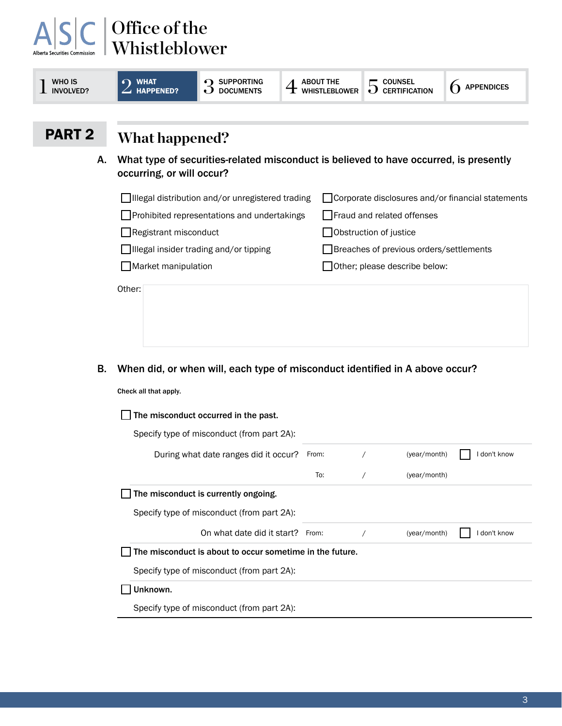| <b>WHO IS</b><br><b>INVOLVED?</b> | $\Omega$ WHAT<br><b>HAPPENED?</b><br>. )                                                                           | <b>SUPPORTING</b><br><b>DOCUMENTS</b> | <b>ABOUT THE</b><br><b>WHISTLEBLOWER</b> | <b>COUNSEL</b><br>5<br><b>CERTIFICATION</b>         | <b>APPENDICES</b> |
|-----------------------------------|--------------------------------------------------------------------------------------------------------------------|---------------------------------------|------------------------------------------|-----------------------------------------------------|-------------------|
| <b>PART 2</b>                     | What happened?                                                                                                     |                                       |                                          |                                                     |                   |
| А.                                | What type of securities-related misconduct is believed to have occurred, is presently<br>occurring, or will occur? |                                       |                                          |                                                     |                   |
|                                   | □ Illegal distribution and/or unregistered trading                                                                 |                                       |                                          | □ Corporate disclosures and/or financial statements |                   |
|                                   | Prohibited representations and undertakings                                                                        |                                       |                                          | Fraud and related offenses                          |                   |
|                                   |                                                                                                                    |                                       |                                          |                                                     |                   |
|                                   | Registrant misconduct                                                                                              |                                       |                                          | Obstruction of justice                              |                   |
|                                   | Illegal insider trading and/or tipping                                                                             |                                       |                                          | Breaches of previous orders/settlements             |                   |

B. When did, or when will, each type of misconduct identified in A above occur?

Check all that apply.

| The misconduct occurred in the past.                     |       |              |            |
|----------------------------------------------------------|-------|--------------|------------|
| Specify type of misconduct (from part 2A):               |       |              |            |
| During what date ranges did it occur?                    | From: | (year/month) | don't know |
|                                                          | To:   | (year/month) |            |
| The misconduct is currently ongoing.                     |       |              |            |
| Specify type of misconduct (from part 2A):               |       |              |            |
| On what date did it start? From:                         |       | (year/month) | don't know |
| The misconduct is about to occur sometime in the future. |       |              |            |
| Specify type of misconduct (from part 2A):               |       |              |            |
| Unknown.                                                 |       |              |            |
| Specify type of misconduct (from part 2A):               |       |              |            |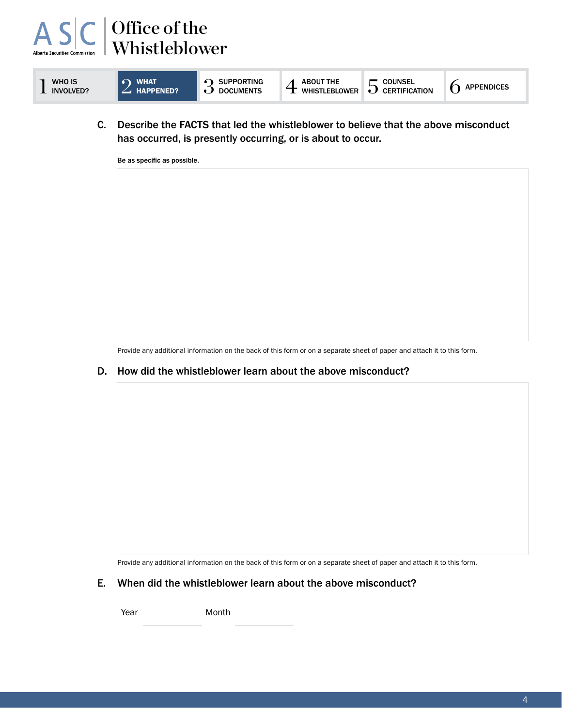



C. Describe the FACTS that led the whistleblower to believe that the above misconduct has occurred, is presently occurring, or is about to occur.



Provide any additional information on the back of this form or on a separate sheet of paper and attach it to this form.

D. How did the whistleblower learn about the above misconduct?

Provide any additional information on the back of this form or on a separate sheet of paper and attach it to this form.

E. When did the whistleblower learn about the above misconduct?

Year **Month**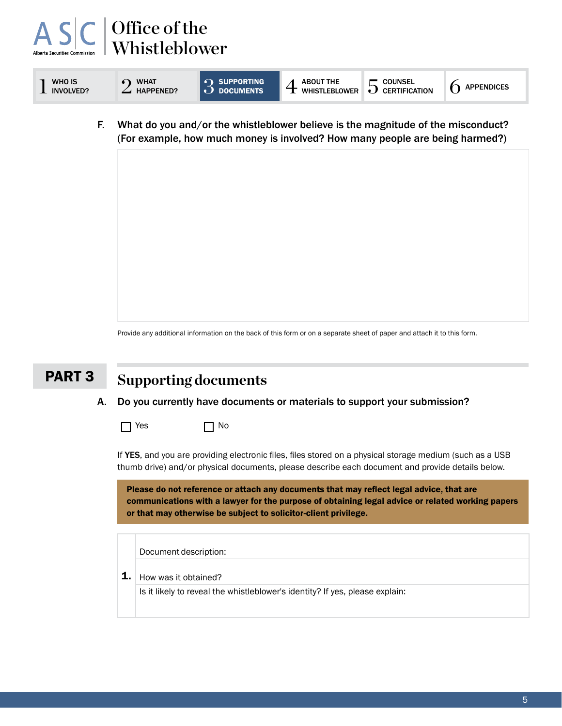#### Office of the  $\boldsymbol{\mathsf{A}}$ Whistleblower WHO IS  $2^{t}$  what  $3^{t}$  supporting  $\sim$   $2^{t}$  happened?  $\sim$   $3^{t}$  documents SUPPORTING  $_{\rm 4}$  about the  $_{\rm 5}$  counsel documents **1** WHO IS<br>INVOLVED?  $5$  Counsel<br> $6$  Certification  $6$  Appendices F. What do you and/or the whistleblower believe is the magnitude of the misconduct? (For example, how much money is involved? How many people are being harmed?)

Provide any additional information on the back of this form or on a separate sheet of paper and attach it to this form.

#### **Supporting documents** PART 3

#### A. Do you currently have documents or materials to support your submission?

 $\Box$  Yes  $\Box$  No

If YES, and you are providing electronic files, files stored on a physical storage medium (such as a USB thumb drive) and/or physical documents, please describe each document and provide details below.

Please do not reference or attach any documents that may reflect legal advice, that are communications with a lawyer for the purpose of obtaining legal advice or related working papers or that may otherwise be subject to solicitor-client privilege.

Document description:

1. How was it obtained?

Is it likely to reveal the whistleblower's identity? If yes, please explain: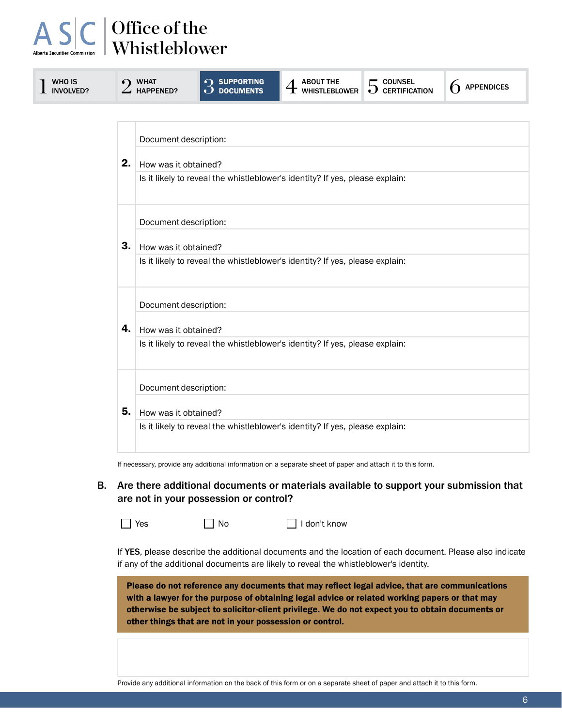| WHO IS<br><b>INVOLVED?</b> |    | <b>WHAT</b><br><b>HAPPENED?</b> | <b>SUPPORTING</b><br>DOCUMENTS                                               | <b>ABOUT THE</b><br>${\bf \pm}$ whistleblower                                | $5$ counsel<br>$5$ certification | <b>APPENDICES</b> |  |
|----------------------------|----|---------------------------------|------------------------------------------------------------------------------|------------------------------------------------------------------------------|----------------------------------|-------------------|--|
|                            |    |                                 |                                                                              |                                                                              |                                  |                   |  |
|                            |    |                                 | Document description:                                                        |                                                                              |                                  |                   |  |
|                            | 2. |                                 | How was it obtained?                                                         |                                                                              |                                  |                   |  |
|                            |    |                                 | Is it likely to reveal the whistleblower's identity? If yes, please explain: |                                                                              |                                  |                   |  |
|                            |    |                                 | Document description:                                                        |                                                                              |                                  |                   |  |
|                            | 3. |                                 | How was it obtained?                                                         |                                                                              |                                  |                   |  |
|                            |    |                                 |                                                                              | Is it likely to reveal the whistleblower's identity? If yes, please explain: |                                  |                   |  |
|                            |    | Document description:           |                                                                              |                                                                              |                                  |                   |  |
|                            | 4. | How was it obtained?            |                                                                              |                                                                              |                                  |                   |  |
|                            |    |                                 |                                                                              | Is it likely to reveal the whistleblower's identity? If yes, please explain: |                                  |                   |  |
|                            |    | Document description:           |                                                                              |                                                                              |                                  |                   |  |
|                            | 5. | How was it obtained?            |                                                                              |                                                                              |                                  |                   |  |
|                            |    |                                 |                                                                              | Is it likely to reveal the whistleblower's identity? If yes, please explain: |                                  |                   |  |
|                            |    |                                 |                                                                              |                                                                              |                                  |                   |  |

If necessary, provide any additional information on a separate sheet of paper and attach it to this form.

B. Are there additional documents or materials available to support your submission that are not in your possession or control?

No I don't know

If YES, please describe the additional documents and the location of each document. Please also indicate if any of the additional documents are likely to reveal the whistleblower's identity.

Please do not reference any documents that may reflect legal advice, that are communications with a lawyer for the purpose of obtaining legal advice or related working papers or that may otherwise be subject to solicitor-client privilege. We do not expect you to obtain documents or other things that are not in your possession or control.

Provide any additional information on the back of this form or on a separate sheet of paper and attach it to this form.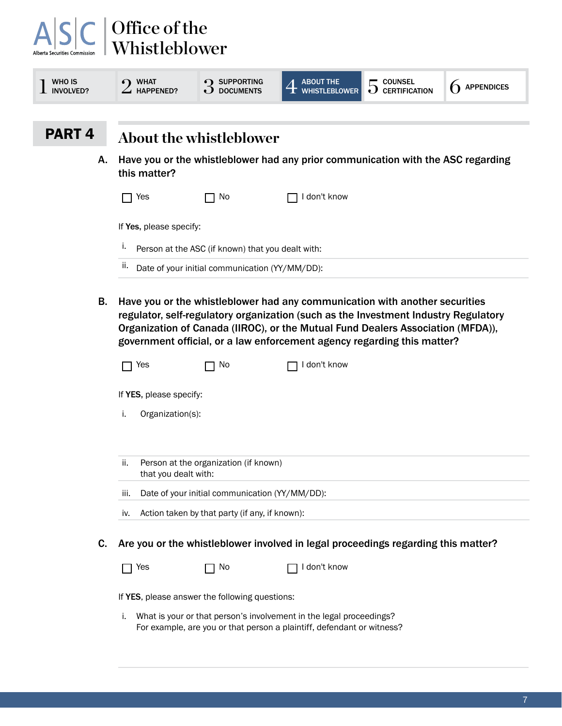| Alberta Securities Commission     | Office of the<br>Whistleblower |                                                   |                                                                                                                                                                                                                                                                                                                                  |                                                     |                   |
|-----------------------------------|--------------------------------|---------------------------------------------------|----------------------------------------------------------------------------------------------------------------------------------------------------------------------------------------------------------------------------------------------------------------------------------------------------------------------------------|-----------------------------------------------------|-------------------|
| <b>WHO IS</b><br><b>INVOLVED?</b> | <b>WHAT</b><br>HAPPENED?       | SUPPORTING<br><b>DOCUMENTS</b>                    | <b>ABOUT THE</b><br><b>WHISTLEBLOWER</b>                                                                                                                                                                                                                                                                                         | <b>COUNSEL</b><br><b>CERTIFICATION</b><br>$\cdot$ ) | <b>APPENDICES</b> |
| PART <sub>4</sub>                 |                                | <b>About the whistleblower</b>                    |                                                                                                                                                                                                                                                                                                                                  |                                                     |                   |
| Α.                                | this matter?                   |                                                   | Have you or the whistleblower had any prior communication with the ASC regarding                                                                                                                                                                                                                                                 |                                                     |                   |
|                                   | Yes                            | No                                                | don't know                                                                                                                                                                                                                                                                                                                       |                                                     |                   |
|                                   | If Yes, please specify:        |                                                   |                                                                                                                                                                                                                                                                                                                                  |                                                     |                   |
|                                   | ۱.                             | Person at the ASC (if known) that you dealt with: |                                                                                                                                                                                                                                                                                                                                  |                                                     |                   |
|                                   | п.                             | Date of your initial communication (YY/MM/DD):    |                                                                                                                                                                                                                                                                                                                                  |                                                     |                   |
| В.                                |                                |                                                   | Have you or the whistleblower had any communication with another securities<br>regulator, self-regulatory organization (such as the Investment Industry Regulatory<br>Organization of Canada (IIROC), or the Mutual Fund Dealers Association (MFDA)),<br>government official, or a law enforcement agency regarding this matter? |                                                     |                   |
|                                   | Yes                            | No                                                | don't know                                                                                                                                                                                                                                                                                                                       |                                                     |                   |

If YES, please specify:

- i. Organization(s):
- ii. Person at the organization (if known) that you dealt with:
- iii. Date of your initial communication (YY/MM/DD):
- iv. Action taken by that party (if any, if known):
- C. Are you or the whistleblower involved in legal proceedings regarding this matter?

| $\Box$ Yes | $\Box$ No                                      | $\Box$ I don't know                                                 |
|------------|------------------------------------------------|---------------------------------------------------------------------|
|            | If YES, please answer the following questions: |                                                                     |
|            |                                                | What is your or that person's involvement in the legal proceedings? |

For example, are you or that person a plaintiff, defendant or witness?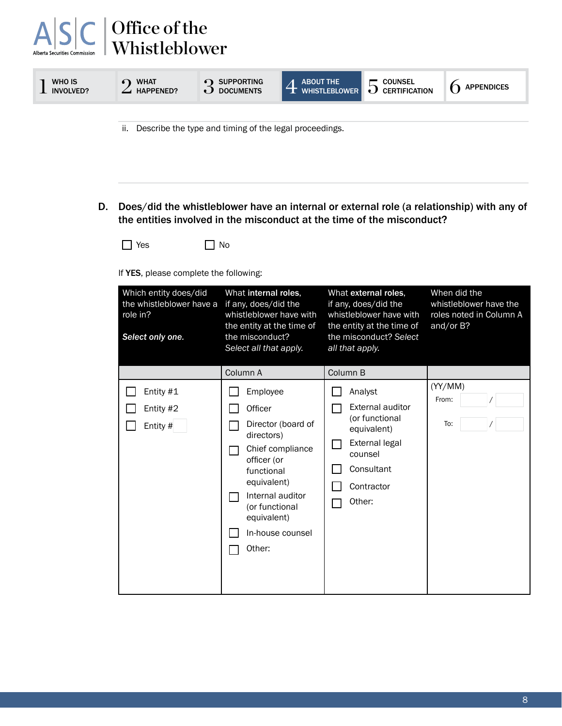| <b>WHO IS</b><br>INVOLVED? | <b>WHAT</b><br><b>HAPPENED?</b> | <b>SUPPORTING</b><br><b>DOCUMENTS</b> | <b>ABOUT THE</b><br><b>WHISTLEBLOWER</b> | <b>COUNSEL</b><br>∽<br><b>CERTIFICATION</b> | <b>APPENDICES</b> |
|----------------------------|---------------------------------|---------------------------------------|------------------------------------------|---------------------------------------------|-------------------|
|                            |                                 |                                       |                                          |                                             |                   |

ii. Describe the type and timing of the legal proceedings.

D. Does/did the whistleblower have an internal or external role (a relationship) with any of the entities involved in the misconduct at the time of the misconduct?

 $\Box$  Yes  $\Box$  No

If YES, please complete the following:

| Which entity does/did<br>the whistleblower have a<br>role in?<br>Select only one. | What internal roles,<br>if any, does/did the<br>whistleblower have with<br>the entity at the time of<br>the misconduct?<br>Select all that apply.                                                                      | What external roles,<br>if any, does/did the<br>whistleblower have with<br>the entity at the time of<br>the misconduct? Select<br>all that apply.  | When did the<br>whistleblower have the<br>roles noted in Column A<br>and/or B? |
|-----------------------------------------------------------------------------------|------------------------------------------------------------------------------------------------------------------------------------------------------------------------------------------------------------------------|----------------------------------------------------------------------------------------------------------------------------------------------------|--------------------------------------------------------------------------------|
| Entity #1<br>Entity #2<br>Entity #                                                | Column A<br>Employee<br>Officer<br>Director (board of<br>directors)<br>Chief compliance<br>officer (or<br>functional<br>equivalent)<br>Internal auditor<br>(or functional<br>equivalent)<br>In-house counsel<br>Other: | Column B<br>Analyst<br><b>External auditor</b><br>(or functional<br>equivalent)<br>External legal<br>counsel<br>Consultant<br>Contractor<br>Other: | (YY/MM)<br>From:<br>To:                                                        |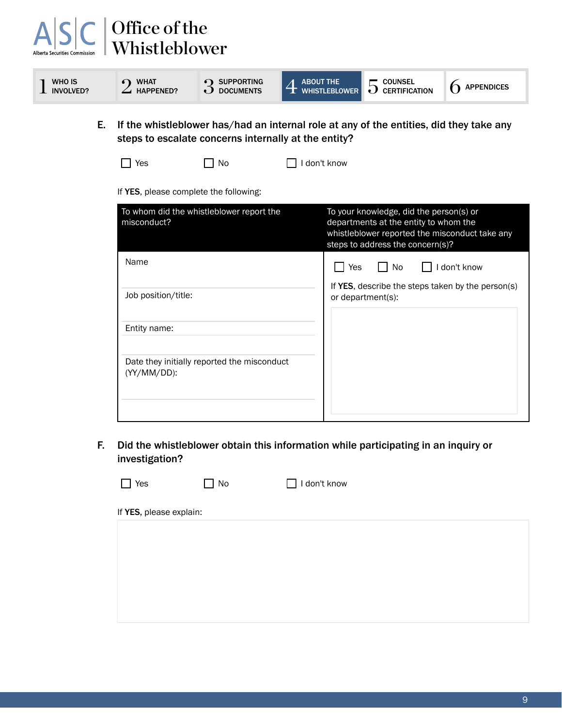#### Office of the  $\boldsymbol{\mathsf{A}}$ Whistleblower  $1$  WHO IS<br>INVOLVED? WHO IS  $2^{NHAT}$  and  $3^{SUPPORTING}$ <br> $2^{HAPPENED?}$  and  $3^{SUPPORTING}$  $\int$  supporting  $\int$   $\overline{4}$  About the ABOUT THE  $\overline{S}$  counsel whistleblower  $\overline{S}$  certification  $6$  Appendices E. If the whistleblower has/had an internal role at any of the entities, did they take any steps to escalate concerns internally at the entity?  $\Box$  Yes  $\Box$  No  $\Box$  I don't know If YES, please complete the following: To whom did the whistleblower report the To your knowledge, did the person(s) or misconduct? departments at the entity to whom the whistleblower reported the misconduct take any steps to address the concern(s)? Name Yes No I don't know If YES, describe the steps taken by the person(s) Job position/title: or department(s): Entity name: Date they initially reported the misconduct (YY/MM/DD):

F. Did the whistleblower obtain this information while participating in an inquiry or investigation?

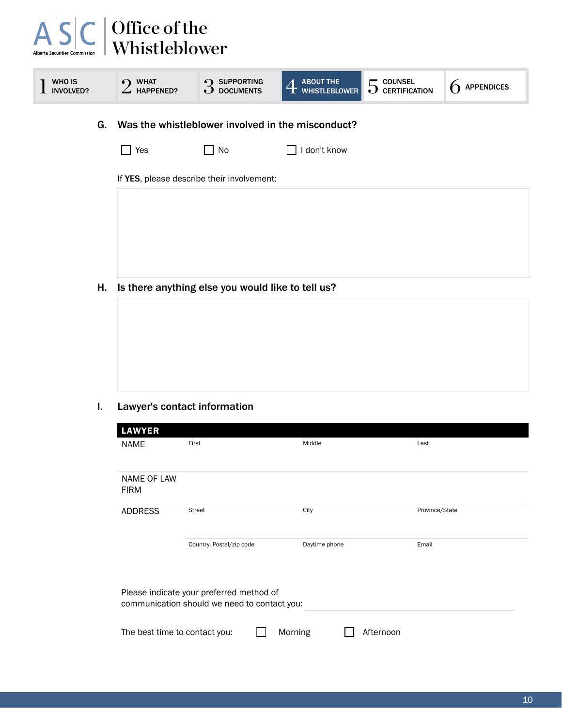#### $A|S|$ Office of the Whistleblower  $2$  what happened? 1 WHO IS<br>1 INVOLVED? WHAT **3** SUPPORTING **4 ABOUT THE HAPPENED?** ABOUT THE  $\overline{5}$  counsel  $\overline{6}$  appendices G. Was the whistleblower involved in the misconduct?

| $\Box$ Yes | $\Box$ No | $\Box$ I don't know |
|------------|-----------|---------------------|
|------------|-----------|---------------------|

If YES, please describe their involvement:

H. Is there anything else you would like to tell us?



#### I. Lawyer's contact information

| <b>LAWYER</b>                                                                            |                          |               |                |  |  |  |  |
|------------------------------------------------------------------------------------------|--------------------------|---------------|----------------|--|--|--|--|
| <b>NAME</b>                                                                              | First                    | Middle        | Last           |  |  |  |  |
| <b>NAME OF LAW</b><br><b>FIRM</b>                                                        |                          |               |                |  |  |  |  |
| <b>ADDRESS</b>                                                                           | <b>Street</b>            | City          | Province/State |  |  |  |  |
|                                                                                          | Country, Postal/zip code | Daytime phone | Email          |  |  |  |  |
| Please indicate your preferred method of<br>communication should we need to contact you: |                          |               |                |  |  |  |  |
| The best time to contact you:                                                            | Morning                  | Afternoon     |                |  |  |  |  |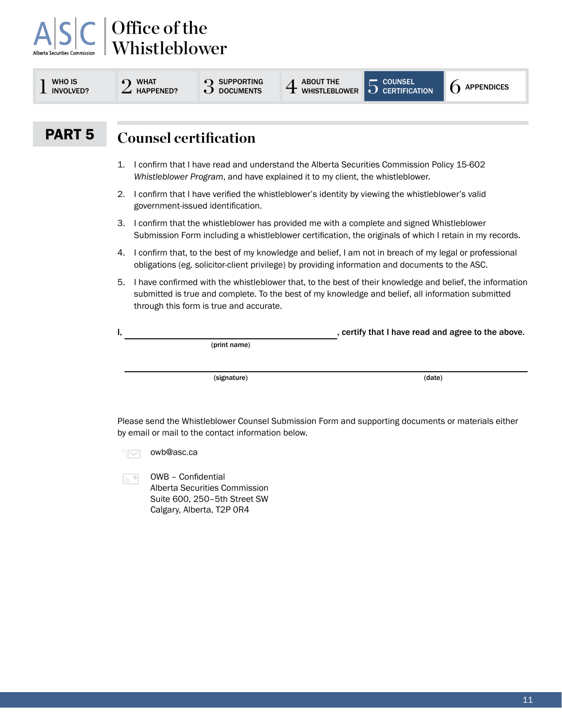| <b>WHO IS</b><br><b>INVOLVED?</b>                                                                                                                                                                                                                              |    | <b>WHAT</b><br><b>HAPPENED?</b>                                                                                                                                                                           | <b>SUPPORTING</b><br><b>DOCUMENTS</b> | <b>ABOUT THE</b><br><b>HISTLEBLOWER</b> | <b>COUNSEL</b><br>$\Omega$ CERTIFICATION | 6<br><b>APPENDICES</b>                             |  |
|----------------------------------------------------------------------------------------------------------------------------------------------------------------------------------------------------------------------------------------------------------------|----|-----------------------------------------------------------------------------------------------------------------------------------------------------------------------------------------------------------|---------------------------------------|-----------------------------------------|------------------------------------------|----------------------------------------------------|--|
| <b>PART 5</b>                                                                                                                                                                                                                                                  |    | <b>Counsel certification</b>                                                                                                                                                                              |                                       |                                         |                                          |                                                    |  |
|                                                                                                                                                                                                                                                                | 1. | I confirm that I have read and understand the Alberta Securities Commission Policy 15-602<br>Whistleblower Program, and have explained it to my client, the whistleblower.                                |                                       |                                         |                                          |                                                    |  |
|                                                                                                                                                                                                                                                                | 2. | I confirm that I have verified the whistleblower's identity by viewing the whistleblower's valid<br>government-issued identification.                                                                     |                                       |                                         |                                          |                                                    |  |
| 3.<br>I confirm that the whistleblower has provided me with a complete and signed Whistleblower<br>Submission Form including a whistleblower certification, the originals of which I retain in my records.                                                     |    |                                                                                                                                                                                                           |                                       |                                         |                                          |                                                    |  |
|                                                                                                                                                                                                                                                                | 4. | I confirm that, to the best of my knowledge and belief, I am not in breach of my legal or professional<br>obligations (eg. solicitor-client privilege) by providing information and documents to the ASC. |                                       |                                         |                                          |                                                    |  |
| I have confirmed with the whistleblower that, to the best of their knowledge and belief, the information<br>5.<br>submitted is true and complete. To the best of my knowledge and belief, all information submitted<br>through this form is true and accurate. |    |                                                                                                                                                                                                           |                                       |                                         |                                          |                                                    |  |
|                                                                                                                                                                                                                                                                |    |                                                                                                                                                                                                           |                                       |                                         |                                          | , certify that I have read and agree to the above. |  |
|                                                                                                                                                                                                                                                                |    |                                                                                                                                                                                                           | (print name)                          |                                         |                                          |                                                    |  |
|                                                                                                                                                                                                                                                                |    |                                                                                                                                                                                                           | (signature)                           |                                         | (date)                                   |                                                    |  |

**EM** owb@asc.ca

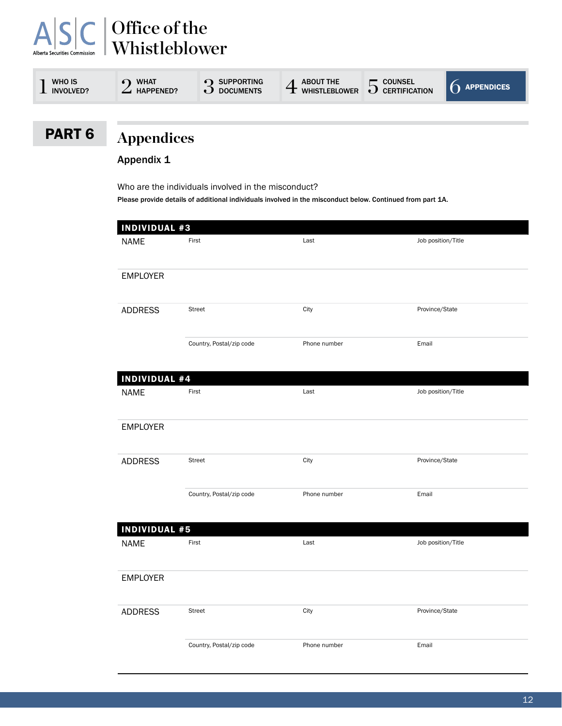| WHO IS<br><b>INVOLVED?</b> | <b>WHAT</b><br><b>HAPPENED?</b> | <b>SUPPORTING</b><br><b>DOCUMENTS</b> | <b>ABOUT THE</b><br>WHISTLEBLOWER | $\blacksquare$ COUNSEL<br>∽<br>$\bigcup$ CERTIFICATION | $\bigcap$ appendices |
|----------------------------|---------------------------------|---------------------------------------|-----------------------------------|--------------------------------------------------------|----------------------|
|                            |                                 |                                       |                                   |                                                        |                      |

### PART 6

# **Appendices**

Appendix 1

Who are the individuals involved in the misconduct? Please provide details of additional individuals involved in the misconduct below. Continued from part 1A.

| <b>INDIVIDUAL #3</b> |                          |              |                    |
|----------------------|--------------------------|--------------|--------------------|
| <b>NAME</b>          | First                    | Last         | Job position/Title |
| <b>EMPLOYER</b>      |                          |              |                    |
| <b>ADDRESS</b>       | Street                   | City         | Province/State     |
|                      | Country, Postal/zip code | Phone number | Email              |
| <b>INDIVIDUAL #4</b> |                          |              |                    |
| <b>NAME</b>          | First                    | Last         | Job position/Title |
| <b>EMPLOYER</b>      |                          |              |                    |
| <b>ADDRESS</b>       | <b>Street</b>            | City         | Province/State     |
|                      | Country, Postal/zip code | Phone number | Email              |
| <b>INDIVIDUAL #5</b> |                          |              |                    |
| <b>NAME</b>          | First                    | Last         | Job position/Title |
| <b>EMPLOYER</b>      |                          |              |                    |
| <b>ADDRESS</b>       | Street                   | City         | Province/State     |
|                      | Country, Postal/zip code | Phone number | Email              |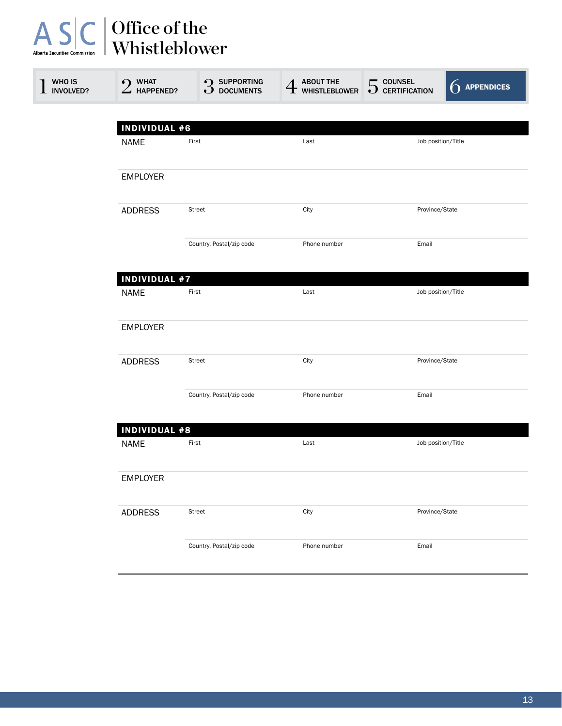| WHO IS<br>INVOLVED? | WHAT<br>$\bullet$<br>$\angle$ HAPPENED? | <b>9</b> SUPPORTING<br>$\mathbf{\tilde{O}}$ documents | $\displaystyle{4}$ about the whistleblower | $5$ counsel<br>$5$ certification | <b>APPENDICES</b> |  |  |  |
|---------------------|-----------------------------------------|-------------------------------------------------------|--------------------------------------------|----------------------------------|-------------------|--|--|--|
|                     |                                         |                                                       |                                            |                                  |                   |  |  |  |
|                     | <b>INDIVIDUAL #6</b>                    | First                                                 | Last                                       |                                  |                   |  |  |  |
|                     | <b>NAME</b>                             |                                                       |                                            | Job position/Title               |                   |  |  |  |
|                     | <b>EMPLOYER</b>                         |                                                       |                                            |                                  |                   |  |  |  |
|                     | <b>ADDRESS</b>                          | <b>Street</b>                                         | City                                       | Province/State                   |                   |  |  |  |
|                     |                                         | Country, Postal/zip code                              | Phone number                               | Email                            |                   |  |  |  |
|                     | <b>INDIVIDUAL #7</b>                    |                                                       |                                            |                                  |                   |  |  |  |
|                     | <b>NAME</b>                             | First                                                 | Last                                       | Job position/Title               |                   |  |  |  |
|                     | <b>EMPLOYER</b>                         |                                                       |                                            |                                  |                   |  |  |  |
|                     | <b>ADDRESS</b>                          | <b>Street</b>                                         | City                                       | Province/State                   |                   |  |  |  |
|                     |                                         | Country, Postal/zip code                              | Phone number                               | Email                            |                   |  |  |  |
|                     | <b>INDIVIDUAL #8</b>                    |                                                       |                                            |                                  |                   |  |  |  |
|                     | <b>NAME</b>                             | First                                                 | Last                                       | Job position/Title               |                   |  |  |  |
|                     | <b>EMPLOYER</b>                         |                                                       |                                            |                                  |                   |  |  |  |
|                     | <b>ADDRESS</b>                          | Street                                                | City                                       | Province/State                   |                   |  |  |  |
|                     |                                         | Country, Postal/zip code                              | Phone number                               | Email                            |                   |  |  |  |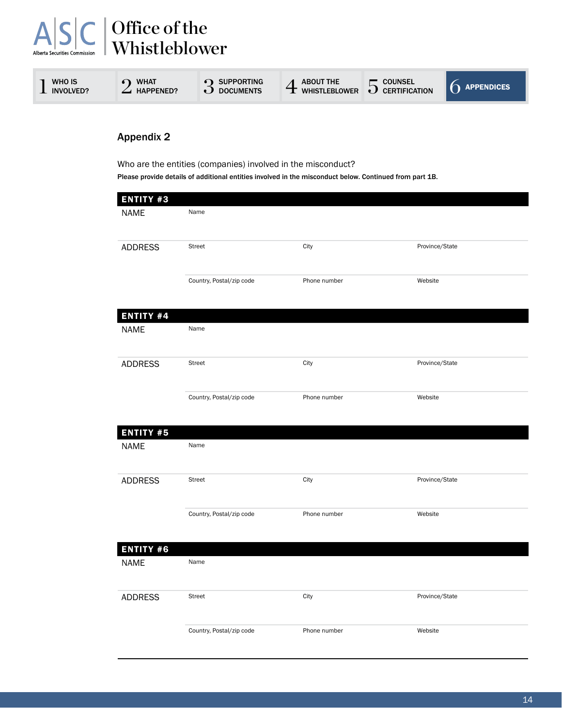| WHO IS<br><b>INVOLVED?</b> | <b>WHAT</b><br><b>HAPPENED?</b> | <b>SUPPORTING</b><br><b>DOCUMENTS</b> | <b>ABOUT THE</b><br><b>WHISTLEBLOWER</b> | <b>COUNSEL</b><br>∽<br><b>CERTIFICATION</b><br>IJ | <b>APPENDICES</b> |
|----------------------------|---------------------------------|---------------------------------------|------------------------------------------|---------------------------------------------------|-------------------|
|                            |                                 |                                       |                                          |                                                   |                   |

#### Appendix 2

Who are the entities (companies) involved in the misconduct? Please provide details of additional entities involved in the misconduct below. Continued from part 1B.

| <b>ENTITY #3</b><br><b>NAME</b> | Name                     |              |                |
|---------------------------------|--------------------------|--------------|----------------|
| <b>ADDRESS</b>                  | <b>Street</b>            | City         | Province/State |
|                                 | Country, Postal/zip code | Phone number | Website        |
| <b>ENTITY #4</b>                |                          |              |                |
| <b>NAME</b>                     | Name                     |              |                |
| <b>ADDRESS</b>                  | Street                   | City         | Province/State |
|                                 | Country, Postal/zip code | Phone number | Website        |
| <b>ENTITY #5</b>                |                          |              |                |
| <b>NAME</b>                     | Name                     |              |                |
| <b>ADDRESS</b>                  | Street                   | City         | Province/State |
|                                 | Country, Postal/zip code | Phone number | Website        |
| <b>ENTITY #6</b>                |                          |              |                |
| <b>NAME</b>                     | Name                     |              |                |
| <b>ADDRESS</b>                  | Street                   | City         | Province/State |
|                                 | Country, Postal/zip code | Phone number | Website        |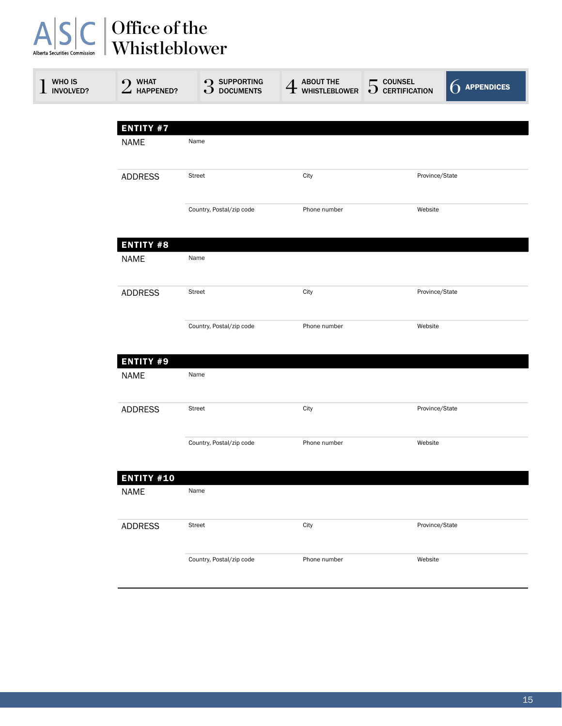| Office of the<br>Whistleblower<br>Alberta Securities Commission |                                 |                                    |                                                      |                                  |                      |  |  |
|-----------------------------------------------------------------|---------------------------------|------------------------------------|------------------------------------------------------|----------------------------------|----------------------|--|--|
| WHO IS<br><b>INVOLVED?</b>                                      | $2$ WHAT HAPPENED?              | <b>3</b> SUPPORTING<br>3 DOCUMENTS | <b>ABOUT THE<br/>WHISTLEBLOWER</b><br>$\overline{4}$ | $5$ counsel<br>$5$ certification | $\bigcap$ appendices |  |  |
|                                                                 | <b>ENTITY #7</b>                |                                    |                                                      |                                  |                      |  |  |
|                                                                 | <b>NAME</b>                     | Name                               |                                                      |                                  |                      |  |  |
|                                                                 | <b>ADDRESS</b>                  | <b>Street</b>                      | City                                                 | Province/State                   |                      |  |  |
|                                                                 |                                 | Country, Postal/zip code           | Phone number                                         | Website                          |                      |  |  |
|                                                                 | <b>ENTITY #8</b><br><b>NAME</b> | Name                               |                                                      |                                  |                      |  |  |
|                                                                 | <b>ADDRESS</b>                  | <b>Street</b>                      | City<br>Province/State                               |                                  |                      |  |  |
|                                                                 |                                 | Country, Postal/zip code           | Phone number                                         | Website                          |                      |  |  |
|                                                                 | <b>ENTITY #9</b><br><b>NAME</b> | Name                               |                                                      |                                  |                      |  |  |
|                                                                 | <b>ADDRESS</b>                  | Street                             | City                                                 | Province/State                   |                      |  |  |
|                                                                 |                                 | Country, Postal/zip code           | Phone number                                         | Website                          |                      |  |  |
|                                                                 | <b>ENTITY #10</b>               |                                    |                                                      |                                  |                      |  |  |
|                                                                 | <b>NAME</b>                     | Name                               |                                                      |                                  |                      |  |  |
|                                                                 | <b>ADDRESS</b>                  | <b>Street</b>                      | City                                                 | Province/State                   |                      |  |  |
|                                                                 |                                 | Country, Postal/zip code           | Phone number                                         | Website                          |                      |  |  |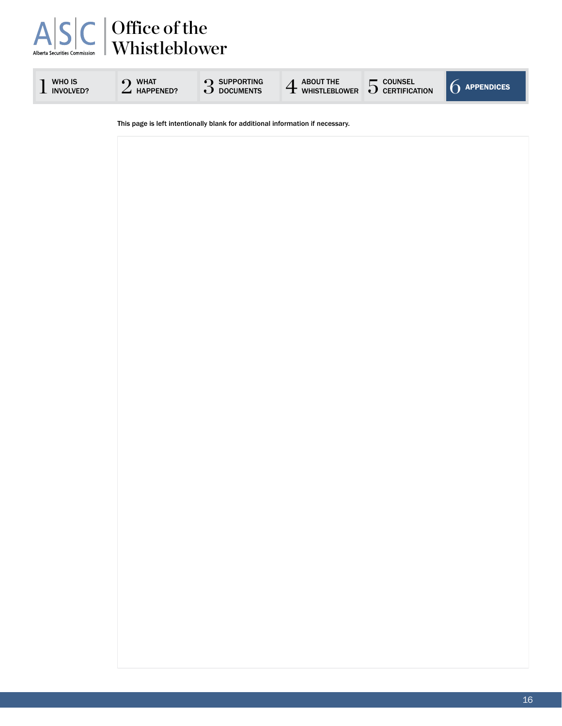

 $1$  involved?  $2$  what

 $2$  what  $3$  supporting<br>3 documents

SUPPORTING  $4$  about the  $5$  counsel  $6$  appendices



This page is left intentionally blank for additional information if necessary.